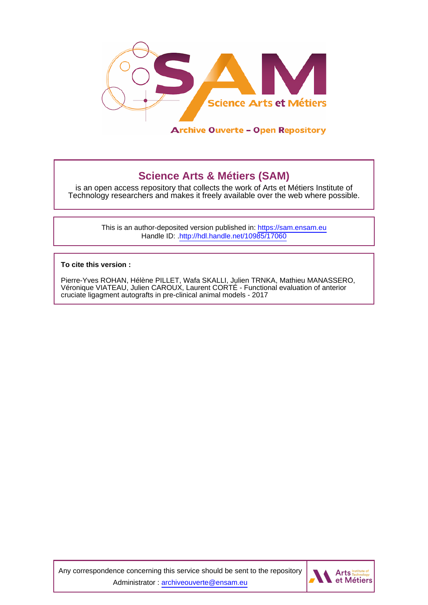

# **Science Arts & Métiers (SAM)**

is an open access repository that collects the work of Arts et Métiers Institute of Technology researchers and makes it freely available over the web where possible.

> This is an author-deposited version published in:<https://sam.ensam.eu> Handle ID: [.http://hdl.handle.net/10985/17060](http://hdl.handle.net/10985/17060)

**To cite this version :**

Pierre-Yves ROHAN, Hélène PILLET, Wafa SKALLI, Julien TRNKA, Mathieu MANASSERO, Véronique VIATEAU, Julien CAROUX, Laurent CORTÉ - Functional evaluation of anterior cruciate ligagment autografts in pre-clinical animal models - 2017

Any correspondence concerning this service should be sent to the repository Administrator : [archiveouverte@ensam.eu](mailto:archiveouverte@ensam.eu)